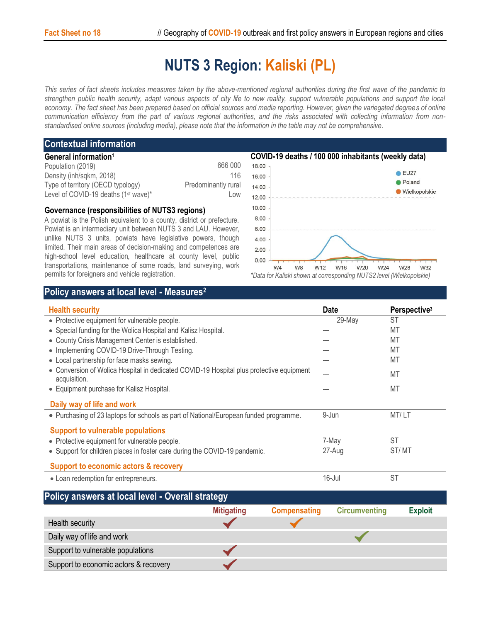## **NUTS 3 Region: Kaliski (PL)**

*This series of fact sheets includes measures taken by the above-mentioned regional authorities during the first wave of the pandemic to strengthen public health security, adapt various aspects of city life to new reality, support vulnerable populations and support the local economy. The fact sheet has been prepared based on official sources and media reporting. However, given the variegated degrees of online communication efficiency from the part of various regional authorities, and the risks associated with collecting information from nonstandardised online sources (including media), please note that the information in the table may not be comprehensive*.

## **Contextual information**

| General information <sup>1</sup>                 |                     |
|--------------------------------------------------|---------------------|
| Population (2019)                                | 666 000             |
| Density (inh/sqkm, 2018)                         | 116                 |
| Type of territory (OECD typology)                | Predominantly rural |
| Level of COVID-19 deaths (1 <sup>st</sup> wave)* | Low                 |

## **Governance (responsibilities of NUTS3 regions)**

A powiat is the Polish equivalent to a county, district or prefecture. Powiat is an intermediary unit between NUTS 3 and LAU. However, unlike NUTS 3 units, powiats have legislative powers, though limited. Their main areas of decision-making and competences are high-school level education, healthcare at county level, public transportations, maintenance of some roads, land surveying, work permits for foreigners and vehicle registration.



*\*Data for Kaliski shown at corresponding NUTS2 level (Wielkopolskie)*

## **Policy answers at local level - Measures<sup>2</sup>**

| <b>Health security</b>                                                                                   | <b>Date</b> | Perspective <sup>3</sup> |
|----------------------------------------------------------------------------------------------------------|-------------|--------------------------|
| • Protective equipment for vulnerable people.                                                            | 29-May      | ST                       |
| • Special funding for the Wolica Hospital and Kalisz Hospital.                                           | ---         | MT                       |
| • County Crisis Management Center is established.                                                        | ---         | MT                       |
| • Implementing COVID-19 Drive-Through Testing.                                                           | ---         | MT                       |
| • Local partnership for face masks sewing.                                                               |             | МT                       |
| • Conversion of Wolica Hospital in dedicated COVID-19 Hospital plus protective equipment<br>acquisition. |             | MT                       |
| • Equipment purchase for Kalisz Hospital.                                                                |             | MT                       |
| Daily way of life and work                                                                               |             |                          |
| • Purchasing of 23 laptops for schools as part of National/European funded programme.                    | 9-Jun       | MT/LT                    |
| <b>Support to vulnerable populations</b>                                                                 |             |                          |
| • Protective equipment for vulnerable people.                                                            | 7-May       | <b>ST</b>                |
| • Support for children places in foster care during the COVID-19 pandemic.                               | 27-Aug      | ST/MT                    |
| <b>Support to economic actors &amp; recovery</b>                                                         |             |                          |
| • Loan redemption for entrepreneurs.                                                                     | $16$ -Jul   | <b>ST</b>                |

| Policy answers at local level - Overall strategy |                   |                     |                      |                |  |  |
|--------------------------------------------------|-------------------|---------------------|----------------------|----------------|--|--|
|                                                  | <b>Mitigating</b> | <b>Compensating</b> | <b>Circumventing</b> | <b>Exploit</b> |  |  |
| Health security                                  |                   |                     |                      |                |  |  |
| Daily way of life and work                       |                   |                     |                      |                |  |  |
| Support to vulnerable populations                |                   |                     |                      |                |  |  |
| Support to economic actors & recovery            |                   |                     |                      |                |  |  |